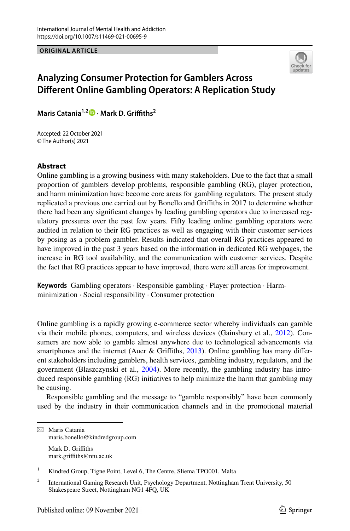**ORIGINAL ARTICLE**



# **Analyzing Consumer Protection for Gamblers Across Diferent Online Gambling Operators: A Replication Study**

**Maris Catania1,2  [·](http://orcid.org/0000-0001-5103-8701) Mark D. Grifths2**

Accepted: 22 October 2021 © The Author(s) 2021

### **Abstract**

Online gambling is a growing business with many stakeholders. Due to the fact that a small proportion of gamblers develop problems, responsible gambling (RG), player protection, and harm minimization have become core areas for gambling regulators. The present study replicated a previous one carried out by Bonello and Grifths in 2017 to determine whether there had been any signifcant changes by leading gambling operators due to increased regulatory pressures over the past few years. Fifty leading online gambling operators were audited in relation to their RG practices as well as engaging with their customer services by posing as a problem gambler. Results indicated that overall RG practices appeared to have improved in the past 3 years based on the information in dedicated RG webpages, the increase in RG tool availability, and the communication with customer services. Despite the fact that RG practices appear to have improved, there were still areas for improvement.

**Keywords** Gambling operators · Responsible gambling · Player protection · Harmminimization · Social responsibility · Consumer protection

Online gambling is a rapidly growing e-commerce sector whereby individuals can gamble via their mobile phones, computers, and wireless devices (Gainsbury et al., [2012\)](#page-14-0). Consumers are now able to gamble almost anywhere due to technological advancements via smartphones and the internet (Auer & Griffiths, [2013](#page-14-1)). Online gambling has many different stakeholders including gamblers, health services, gambling industry, regulators, and the government (Blaszczynski et al., [2004\)](#page-14-2). More recently, the gambling industry has introduced responsible gambling (RG) initiatives to help minimize the harm that gambling may be causing.

Responsible gambling and the message to "gamble responsibly" have been commonly used by the industry in their communication channels and in the promotional material

 $\boxtimes$  Maris Catania maris.bonello@kindredgroup.com Mark D. Griffiths mark.grifths@ntu.ac.uk

<sup>&</sup>lt;sup>1</sup> Kindred Group, Tigne Point, Level 6, The Centre, Sliema TPO001, Malta

<sup>&</sup>lt;sup>2</sup> International Gaming Research Unit, Psychology Department, Nottingham Trent University, 50 Shakespeare Street, Nottingham NG1 4FQ, UK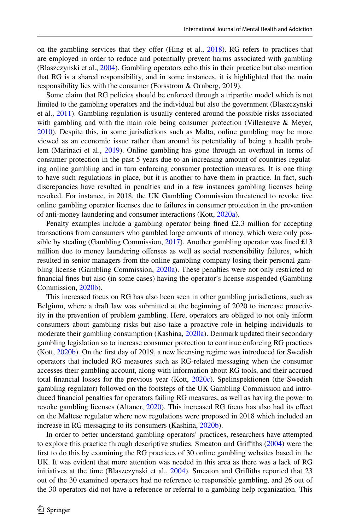on the gambling services that they offer (Hing et al., [2018](#page-15-0)). RG refers to practices that are employed in order to reduce and potentially prevent harms associated with gambling (Blaszczynski et al., [2004\)](#page-14-2). Gambling operators echo this in their practice but also mention that RG is a shared responsibility, and in some instances, it is highlighted that the main responsibility lies with the consumer (Forsstrom & Ornberg, 2019).

Some claim that RG policies should be enforced through a tripartite model which is not limited to the gambling operators and the individual but also the government (Blaszczynski et al., [2011\)](#page-14-3). Gambling regulation is usually centered around the possible risks associated with gambling and with the main role being consumer protection (Villeneuve & Meyer, [2010\)](#page-15-1). Despite this, in some jurisdictions such as Malta, online gambling may be more viewed as an economic issue rather than around its potentiality of being a health prob-lem (Marinaci et al., [2019](#page-15-2)). Online gambling has gone through an overhaul in terms of consumer protection in the past 5 years due to an increasing amount of countries regulating online gambling and in turn enforcing consumer protection measures. It is one thing to have such regulations in place, but it is another to have them in practice. In fact, such discrepancies have resulted in penalties and in a few instances gambling licenses being revoked. For instance, in 2018, the UK Gambling Commission threatened to revoke fve online gambling operator licenses due to failures in consumer protection in the prevention of anti-money laundering and consumer interactions (Kott, [2020a\)](#page-15-3).

Penalty examples include a gambling operator being fned £2.3 million for accepting transactions from consumers who gambled large amounts of money, which were only pos-sible by stealing (Gambling Commission, [2017](#page-15-4)). Another gambling operator was fined £13 million due to money laundering ofenses as well as social responsibility failures, which resulted in senior managers from the online gambling company losing their personal gam-bling license (Gambling Commission, [2020a\)](#page-14-4). These penalties were not only restricted to fnancial fnes but also (in some cases) having the operator's license suspended (Gambling Commission, [2020b](#page-15-5)).

This increased focus on RG has also been seen in other gambling jurisdictions, such as Belgium, where a draft law was submitted at the beginning of 2020 to increase proactivity in the prevention of problem gambling. Here, operators are obliged to not only inform consumers about gambling risks but also take a proactive role in helping individuals to moderate their gambling consumption (Kashina, [2020a](#page-15-6)). Denmark updated their secondary gambling legislation so to increase consumer protection to continue enforcing RG practices (Kott, [2020b](#page-15-7)). On the frst day of 2019, a new licensing regime was introduced for Swedish operators that included RG measures such as RG-related messaging when the consumer accesses their gambling account, along with information about RG tools, and their accrued total fnancial losses for the previous year (Kott, [2020c](#page-15-8)). Spelinspektionen (the Swedish gambling regulator) followed on the footsteps of the UK Gambling Commission and introduced fnancial penalties for operators failing RG measures, as well as having the power to revoke gambling licenses (Altaner, [2020\)](#page-14-5). This increased RG focus has also had its efect on the Maltese regulator where new regulations were proposed in 2018 which included an increase in RG messaging to its consumers (Kashina, [2020b\)](#page-15-9).

In order to better understand gambling operators' practices, researchers have attempted to explore this practice through descriptive studies. Smeaton and Grifths [\(2004](#page-15-10)) were the frst to do this by examining the RG practices of 30 online gambling websites based in the UK. It was evident that more attention was needed in this area as there was a lack of RG initiatives at the time (Blaszczynski et al., [2004\)](#page-14-2). Smeaton and Grifths reported that 23 out of the 30 examined operators had no reference to responsible gambling, and 26 out of the 30 operators did not have a reference or referral to a gambling help organization. This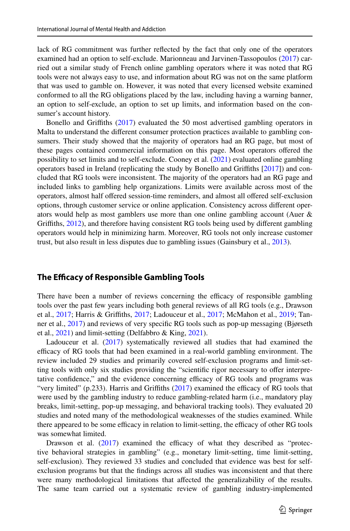lack of RG commitment was further refected by the fact that only one of the operators examined had an option to self-exclude. Marionneau and Jarvinen-Tassopoulos [\(2017](#page-15-11)) carried out a similar study of French online gambling operators where it was noted that RG tools were not always easy to use, and information about RG was not on the same platform that was used to gamble on. However, it was noted that every licensed website examined conformed to all the RG obligations placed by the law, including having a warning banner, an option to self-exclude, an option to set up limits, and information based on the consumer's account history.

Bonello and Grifths ([2017\)](#page-14-6) evaluated the 50 most advertised gambling operators in Malta to understand the diferent consumer protection practices available to gambling consumers. Their study showed that the majority of operators had an RG page, but most of these pages contained commercial information on this page. Most operators ofered the possibility to set limits and to self-exclude. Cooney et al. ([2021\)](#page-14-7) evaluated online gambling operators based in Ireland (replicating the study by Bonello and Grifths [\[2017](#page-14-6)]) and concluded that RG tools were inconsistent. The majority of the operators had an RG page and included links to gambling help organizations. Limits were available across most of the operators, almost half ofered session-time reminders, and almost all ofered self-exclusion options, through customer service or online application. Consistency across diferent operators would help as most gamblers use more than one online gambling account (Auer & Grifths, [2012](#page-14-8)), and therefore having consistent RG tools being used by diferent gambling operators would help in minimizing harm. Moreover, RG tools not only increase customer trust, but also result in less disputes due to gambling issues (Gainsbury et al., [2013\)](#page-14-9).

#### **The Efficacy of Responsible Gambling Tools**

There have been a number of reviews concerning the efficacy of responsible gambling tools over the past few years including both general reviews of all RG tools (e.g., Drawson et al., [2017;](#page-15-12) Harris & Griffiths, [2017](#page-15-13); Ladouceur et al., 2017; McMahon et al., [2019;](#page-15-14) Tanner et al., [2017\)](#page-15-15) and reviews of very specifc RG tools such as pop-up messaging (Bjørseth et al., [2021\)](#page-14-11) and limit-setting (Delfabbro & King, [2021\)](#page-14-12).

Ladouceur et al. [\(2017](#page-15-13)) systematically reviewed all studies that had examined the efficacy of RG tools that had been examined in a real-world gambling environment. The review included 29 studies and primarily covered self-exclusion programs and limit-setting tools with only six studies providing the "scientifc rigor necessary to ofer interpretative confidence," and the evidence concerning efficacy of RG tools and programs was "very limited" (p.233). Harris and Griffiths  $(2017)$  $(2017)$  examined the efficacy of RG tools that were used by the gambling industry to reduce gambling-related harm (i.e., mandatory play breaks, limit-setting, pop-up messaging, and behavioral tracking tools). They evaluated 20 studies and noted many of the methodological weaknesses of the studies examined. While there appeared to be some efficacy in relation to limit-setting, the efficacy of other RG tools was somewhat limited.

Drawson et al.  $(2017)$  $(2017)$  examined the efficacy of what they described as "protective behavioral strategies in gambling" (e.g., monetary limit-setting, time limit-setting, self-exclusion). They reviewed 33 studies and concluded that evidence was best for selfexclusion programs but that the fndings across all studies was inconsistent and that there were many methodological limitations that afected the generalizability of the results. The same team carried out a systematic review of gambling industry-implemented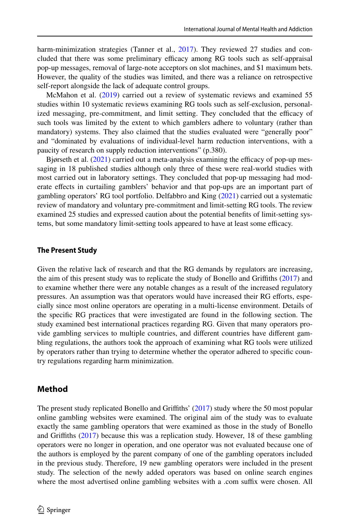harm-minimization strategies (Tanner et al., [2017](#page-15-15)). They reviewed 27 studies and concluded that there was some preliminary efficacy among RG tools such as self-appraisal pop-up messages, removal of large-note acceptors on slot machines, and \$1 maximum bets. However, the quality of the studies was limited, and there was a reliance on retrospective self-report alongside the lack of adequate control groups.

McMahon et al. [\(2019](#page-15-14)) carried out a review of systematic reviews and examined 55 studies within 10 systematic reviews examining RG tools such as self-exclusion, personalized messaging, pre-commitment, and limit setting. They concluded that the efficacy of such tools was limited by the extent to which gamblers adhere to voluntary (rather than mandatory) systems. They also claimed that the studies evaluated were "generally poor" and "dominated by evaluations of individual-level harm reduction interventions, with a paucity of research on supply reduction interventions" (p.380).

Bjørseth et al.  $(2021)$  $(2021)$  carried out a meta-analysis examining the efficacy of pop-up messaging in 18 published studies although only three of these were real-world studies with most carried out in laboratory settings. They concluded that pop-up messaging had moderate efects in curtailing gamblers' behavior and that pop-ups are an important part of gambling operators' RG tool portfolio. Delfabbro and King ([2021\)](#page-14-12) carried out a systematic review of mandatory and voluntary pre-commitment and limit-setting RG tools. The review examined 25 studies and expressed caution about the potential benefts of limit-setting systems, but some mandatory limit-setting tools appeared to have at least some efficacy.

#### **The Present Study**

Given the relative lack of research and that the RG demands by regulators are increasing, the aim of this present study was to replicate the study of Bonello and Grifths [\(2017](#page-14-6)) and to examine whether there were any notable changes as a result of the increased regulatory pressures. An assumption was that operators would have increased their RG efforts, especially since most online operators are operating in a multi-license environment. Details of the specifc RG practices that were investigated are found in the following section. The study examined best international practices regarding RG. Given that many operators provide gambling services to multiple countries, and diferent countries have diferent gambling regulations, the authors took the approach of examining what RG tools were utilized by operators rather than trying to determine whether the operator adhered to specifc country regulations regarding harm minimization.

#### <span id="page-3-0"></span>**Method**

The present study replicated Bonello and Grifths' ([2017\)](#page-14-6) study where the 50 most popular online gambling websites were examined. The original aim of the study was to evaluate exactly the same gambling operators that were examined as those in the study of Bonello and Grifths ([2017\)](#page-14-6) because this was a replication study. However, 18 of these gambling operators were no longer in operation, and one operator was not evaluated because one of the authors is employed by the parent company of one of the gambling operators included in the previous study. Therefore, 19 new gambling operators were included in the present study. The selection of the newly added operators was based on online search engines where the most advertised online gambling websites with a .com suffix were chosen. All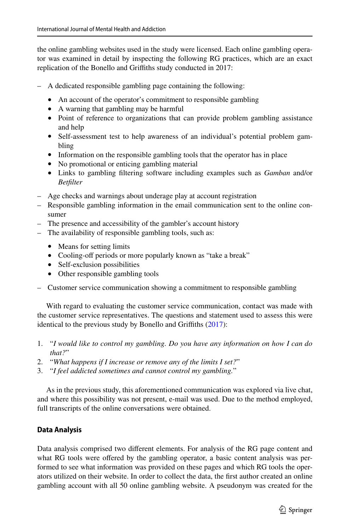the online gambling websites used in the study were licensed. Each online gambling operator was examined in detail by inspecting the following RG practices, which are an exact replication of the Bonello and Grifths study conducted in 2017:

- A dedicated responsible gambling page containing the following:
	- An account of the operator's commitment to responsible gambling
	- A warning that gambling may be harmful
	- Point of reference to organizations that can provide problem gambling assistance and help
	- Self-assessment test to help awareness of an individual's potential problem gambling
	- Information on the responsible gambling tools that the operator has in place
	- No promotional or enticing gambling material
	- Links to gambling fltering software including examples such as *Gamban* and/or *Betflter*
- Age checks and warnings about underage play at account registration
- Responsible gambling information in the email communication sent to the online consumer
- The presence and accessibility of the gambler's account history
- The availability of responsible gambling tools, such as:
	- Means for setting limits
	- Cooling-off periods or more popularly known as "take a break"
	- Self-exclusion possibilities
	- Other responsible gambling tools
- Customer service communication showing a commitment to responsible gambling

With regard to evaluating the customer service communication, contact was made with the customer service representatives. The questions and statement used to assess this were identical to the previous study by Bonello and Griffiths [\(2017](#page-14-6)):

- 1. "*I would like to control my gambling. Do you have any information on how I can do that?*"
- 2. "*What happens if I increase or remove any of the limits I set?*"
- 3. "*I feel addicted sometimes and cannot control my gambling.*"

As in the previous study, this aforementioned communication was explored via live chat, and where this possibility was not present, e-mail was used. Due to the method employed, full transcripts of the online conversations were obtained.

# **Data Analysis**

Data analysis comprised two diferent elements. For analysis of the RG page content and what RG tools were offered by the gambling operator, a basic content analysis was performed to see what information was provided on these pages and which RG tools the operators utilized on their website. In order to collect the data, the frst author created an online gambling account with all 50 online gambling website. A pseudonym was created for the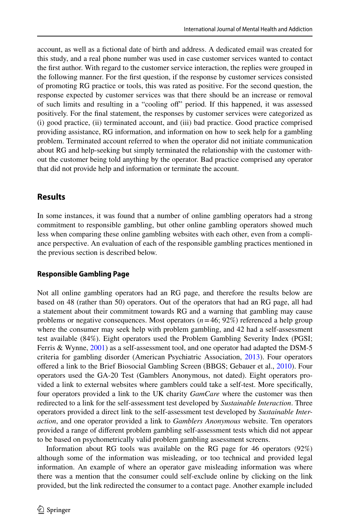account, as well as a fctional date of birth and address. A dedicated email was created for this study, and a real phone number was used in case customer services wanted to contact the frst author. With regard to the customer service interaction, the replies were grouped in the following manner. For the frst question, if the response by customer services consisted of promoting RG practice or tools, this was rated as positive. For the second question, the response expected by customer services was that there should be an increase or removal of such limits and resulting in a "cooling of" period. If this happened, it was assessed positively. For the fnal statement, the responses by customer services were categorized as (i) good practice, (ii) terminated account, and (iii) bad practice. Good practice comprised providing assistance, RG information, and information on how to seek help for a gambling problem. Terminated account referred to when the operator did not initiate communication about RG and help-seeking but simply terminated the relationship with the customer without the customer being told anything by the operator. Bad practice comprised any operator that did not provide help and information or terminate the account.

# **Results**

In some instances, it was found that a number of online gambling operators had a strong commitment to responsible gambling, but other online gambling operators showed much less when comparing these online gambling websites with each other, even from a compliance perspective. An evaluation of each of the responsible gambling practices mentioned in the previous section is described below.

### **Responsible Gambling Page**

Not all online gambling operators had an RG page, and therefore the results below are based on 48 (rather than 50) operators. Out of the operators that had an RG page, all had a statement about their commitment towards RG and a warning that gambling may cause problems or negative consequences. Most operators (*n*=46; 92%) referenced a help group where the consumer may seek help with problem gambling, and 42 had a self-assessment test available (84%). Eight operators used the Problem Gambling Severity Index (PGSI; Ferris & Wynne, [2001](#page-14-13)) as a self-assessment tool, and one operator had adapted the DSM-5 criteria for gambling disorder (American Psychiatric Association, [2013\)](#page-14-14). Four operators ofered a link to the Brief Biosocial Gambling Screen (BBGS; Gebauer et al., [2010](#page-14-15)). Four operators used the GA-20 Test (Gamblers Anonymous, not dated). Eight operators provided a link to external websites where gamblers could take a self-test. More specifcally, four operators provided a link to the UK charity *GamCare* where the customer was then redirected to a link for the self-assessment test developed by *Sustainable Interaction*. Three operators provided a direct link to the self-assessment test developed by *Sustainable Interaction*, and one operator provided a link to *Gamblers Anonymous* website. Ten operators provided a range of diferent problem gambling self-assessment tests which did not appear to be based on psychometrically valid problem gambling assessment screens.

Information about RG tools was available on the RG page for 46 operators (92%) although some of the information was misleading, or too technical and provided legal information. An example of where an operator gave misleading information was where there was a mention that the consumer could self-exclude online by clicking on the link provided, but the link redirected the consumer to a contact page. Another example included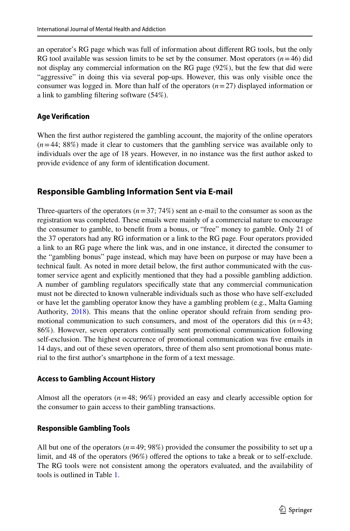an operator's RG page which was full of information about diferent RG tools, but the only RG tool available was session limits to be set by the consumer. Most operators  $(n=46)$  did not display any commercial information on the RG page (92%), but the few that did were "aggressive" in doing this via several pop-ups. However, this was only visible once the consumer was logged in. More than half of the operators (*n*=27) displayed information or a link to gambling fltering software (54%).

#### **Age Verifcation**

When the frst author registered the gambling account, the majority of the online operators  $(n=44; 88%)$  made it clear to customers that the gambling service was available only to individuals over the age of 18 years. However, in no instance was the frst author asked to provide evidence of any form of identifcation document.

### **Responsible Gambling Information Sent via E‑mail**

Three-quarters of the operators  $(n=37; 74%)$  sent an e-mail to the consumer as soon as the registration was completed. These emails were mainly of a commercial nature to encourage the consumer to gamble, to beneft from a bonus, or "free" money to gamble. Only 21 of the 37 operators had any RG information or a link to the RG page. Four operators provided a link to an RG page where the link was, and in one instance, it directed the consumer to the "gambling bonus" page instead, which may have been on purpose or may have been a technical fault. As noted in more detail below, the frst author communicated with the customer service agent and explicitly mentioned that they had a possible gambling addiction. A number of gambling regulators specifcally state that any commercial communication must not be directed to known vulnerable individuals such as those who have self-excluded or have let the gambling operator know they have a gambling problem (e.g., Malta Gaming Authority, [2018](#page-15-16)). This means that the online operator should refrain from sending promotional communication to such consumers, and most of the operators did this  $(n=43;$ 86%). However, seven operators continually sent promotional communication following self-exclusion. The highest occurrence of promotional communication was fve emails in 14 days, and out of these seven operators, three of them also sent promotional bonus material to the frst author's smartphone in the form of a text message.

#### **Access to Gambling Account History**

Almost all the operators  $(n=48; 96%)$  provided an easy and clearly accessible option for the consumer to gain access to their gambling transactions.

### **Responsible Gambling Tools**

All but one of the operators  $(n=49; 98%)$  provided the consumer the possibility to set up a limit, and 48 of the operators (96%) offered the options to take a break or to self-exclude. The RG tools were not consistent among the operators evaluated, and the availability of tools is outlined in Table [1.](#page-7-0)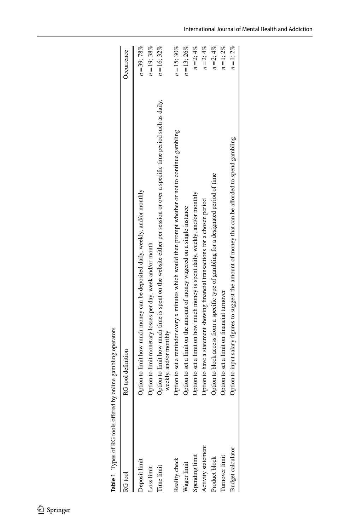<span id="page-7-0"></span>

| Table 1 Types of RG tools offer | ed by online gambling operators                                                                                        |             |
|---------------------------------|------------------------------------------------------------------------------------------------------------------------|-------------|
| RG tool                         | RG tool definition                                                                                                     | Jecurrence  |
| Jeposit lim                     | Option to limit how much money can be deposited daily, weekly, and/or monthly                                          | $n = 39:78$ |
| Loss limit                      | Option to limit monetary losses per day, week and/or month                                                             | $n = 19:38$ |
| lime limi                       | Option to limit how much time is spent on the website either per session or over a specific time period such as daily, | $n = 16:32$ |
|                                 |                                                                                                                        |             |

| KU IOOI                  | KU 1001 GEHNHON                                                                                                                                  | Uccurrence     |
|--------------------------|--------------------------------------------------------------------------------------------------------------------------------------------------|----------------|
| <b>Deposit limit</b>     | Option to limit how much money can be deposited daily, weekly, and/or monthly                                                                    | $n = 39; 78\%$ |
| Loss limit               | Option to limit monetary losses per day, week and/or month                                                                                       | $n = 19;38\%$  |
| Time limit               | Option to limit how much time is spent on the website either per session or over a specific time period such as daily,<br>weekly, and/or monthly | $n = 16:32\%$  |
| Reality check            | Option to set a reminder every x minutes which would then prompt whether or not to continue gambling                                             | $n = 15; 30\%$ |
| Vager limit              | Option to set a limit on the amount of money wagered on a single instance                                                                        | $n = 13$ ; 26% |
| Spending limit           | Option to set a limit on how much money is spent daily, weekly, and/or monthly                                                                   | $n = 2; 4%$    |
| Activity statement       | Option to have a statement showing financial transactions for a chosen period                                                                    | $n = 2$ ; 4%   |
| Product block            | Option to block access from a specific type of gambling for a designated period of time                                                          | $n = 2$ ; 4%   |
| lurnover limit           | Option to set a limit on financial turnover                                                                                                      | $n = 1:2\%$    |
| <b>Budget calculator</b> | Option to input salary figures to suggest the amount of money that can be afforded to spend gambling                                             | $n = 1:2\%$    |
|                          |                                                                                                                                                  |                |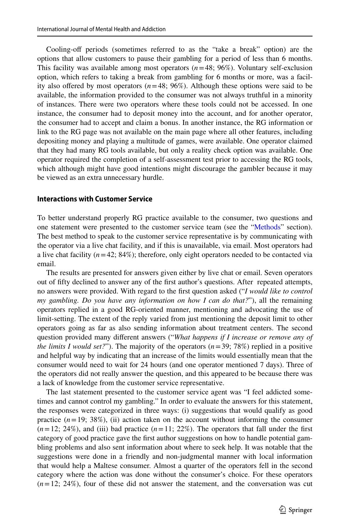Cooling-off periods (sometimes referred to as the "take a break" option) are the options that allow customers to pause their gambling for a period of less than 6 months. This facility was available among most operators (*n*=48; 96%). Voluntary self-exclusion option, which refers to taking a break from gambling for 6 months or more, was a facility also offered by most operators  $(n=48; 96\%)$ . Although these options were said to be available, the information provided to the consumer was not always truthful in a minority of instances. There were two operators where these tools could not be accessed. In one instance, the consumer had to deposit money into the account, and for another operator, the consumer had to accept and claim a bonus. In another instance, the RG information or link to the RG page was not available on the main page where all other features, including depositing money and playing a multitude of games, were available. One operator claimed that they had many RG tools available, but only a reality check option was available. One operator required the completion of a self-assessment test prior to accessing the RG tools, which although might have good intentions might discourage the gambler because it may be viewed as an extra unnecessary hurdle.

#### **Interactions with Customer Service**

To better understand properly RG practice available to the consumer, two questions and one statement were presented to the customer service team (see the ["Methods"](#page-3-0) section). The best method to speak to the customer service representative is by communicating with the operator via a live chat facility, and if this is unavailable, via email. Most operators had a live chat facility  $(n=42; 84\%)$ ; therefore, only eight operators needed to be contacted via email.

The results are presented for answers given either by live chat or email. Seven operators out of ffty declined to answer any of the frst author's questions. After repeated attempts, no answers were provided. With regard to the frst question asked ("*I would like to control my gambling. Do you have any information on how I can do that?*"), all the remaining operators replied in a good RG-oriented manner, mentioning and advocating the use of limit-setting. The extent of the reply varied from just mentioning the deposit limit to other operators going as far as also sending information about treatment centers. The second question provided many diferent answers ("*What happens if I increase or remove any of the limits I would set?*"). The majority of the operators  $(n=39; 78%)$  replied in a positive and helpful way by indicating that an increase of the limits would essentially mean that the consumer would need to wait for 24 hours (and one operator mentioned 7 days). Three of the operators did not really answer the question, and this appeared to be because there was a lack of knowledge from the customer service representative.

The last statement presented to the customer service agent was "I feel addicted sometimes and cannot control my gambling." In order to evaluate the answers for this statement, the responses were categorized in three ways: (i) suggestions that would qualify as good practice  $(n=19; 38\%)$ , (ii) action taken on the account without informing the consumer  $(n=12; 24\%)$ , and (iii) bad practice  $(n=11; 22\%)$ . The operators that fall under the first category of good practice gave the frst author suggestions on how to handle potential gambling problems and also sent information about where to seek help. It was notable that the suggestions were done in a friendly and non-judgmental manner with local information that would help a Maltese consumer. Almost a quarter of the operators fell in the second category where the action was done without the consumer's choice. For these operators  $(n=12; 24\%)$ , four of these did not answer the statement, and the conversation was cut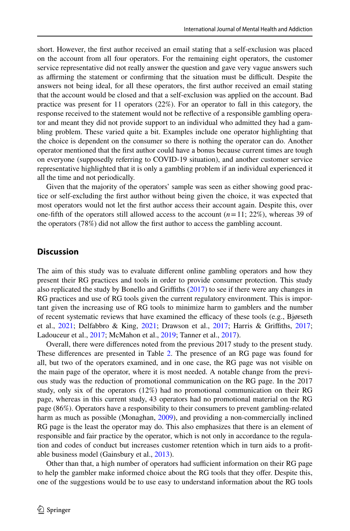short. However, the frst author received an email stating that a self-exclusion was placed on the account from all four operators. For the remaining eight operators, the customer service representative did not really answer the question and gave very vague answers such as affirming the statement or confirming that the situation must be difficult. Despite the answers not being ideal, for all these operators, the frst author received an email stating that the account would be closed and that a self-exclusion was applied on the account. Bad practice was present for 11 operators (22%). For an operator to fall in this category, the response received to the statement would not be refective of a responsible gambling operator and meant they did not provide support to an individual who admitted they had a gambling problem. These varied quite a bit. Examples include one operator highlighting that the choice is dependent on the consumer so there is nothing the operator can do. Another operator mentioned that the frst author could have a bonus because current times are tough on everyone (supposedly referring to COVID-19 situation), and another customer service representative highlighted that it is only a gambling problem if an individual experienced it all the time and not periodically.

Given that the majority of the operators' sample was seen as either showing good practice or self-excluding the frst author without being given the choice, it was expected that most operators would not let the frst author access their account again. Despite this, over one-fifth of the operators still allowed access to the account  $(n=11; 22\%)$ , whereas 39 of the operators (78%) did not allow the frst author to access the gambling account.

### **Discussion**

The aim of this study was to evaluate diferent online gambling operators and how they present their RG practices and tools in order to provide consumer protection. This study also replicated the study by Bonello and Grifths [\(2017](#page-14-6)) to see if there were any changes in RG practices and use of RG tools given the current regulatory environment. This is important given the increasing use of RG tools to minimize harm to gamblers and the number of recent systematic reviews that have examined the efficacy of these tools (e.g., Bjørseth et al., [2021](#page-14-11); Delfabbro & King, [2021;](#page-14-12) Drawson et al., [2017](#page-14-10); Harris & Grifths, [2017;](#page-15-12) Ladouceur et al., [2017;](#page-15-13) McMahon et al., [2019;](#page-15-14) Tanner et al., [2017](#page-15-15)).

Overall, there were diferences noted from the previous 2017 study to the present study. These differences are presented in Table [2](#page-10-0). The presence of an RG page was found for all, but two of the operators examined, and in one case, the RG page was not visible on the main page of the operator, where it is most needed. A notable change from the previous study was the reduction of promotional communication on the RG page. In the 2017 study, only six of the operators (12%) had no promotional communication on their RG page, whereas in this current study, 43 operators had no promotional material on the RG page (86%). Operators have a responsibility to their consumers to prevent gambling-related harm as much as possible (Monaghan, [2009](#page-15-17)), and providing a non-commercially inclined RG page is the least the operator may do. This also emphasizes that there is an element of responsible and fair practice by the operator, which is not only in accordance to the regulation and codes of conduct but increases customer retention which in turn aids to a proftable business model (Gainsbury et al., [2013](#page-14-9)).

Other than that, a high number of operators had sufficient information on their RG page to help the gambler make informed choice about the RG tools that they ofer. Despite this, one of the suggestions would be to use easy to understand information about the RG tools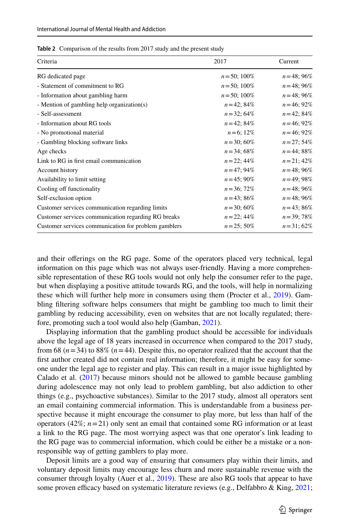<span id="page-10-0"></span>

| Table 2 Comparison of the results from 2017 study and the present study |
|-------------------------------------------------------------------------|
|-------------------------------------------------------------------------|

| Criteria                                             | 2017            | Current        |
|------------------------------------------------------|-----------------|----------------|
| RG dedicated page                                    | $n = 50$ ; 100% | $n = 48$ ; 96% |
| - Statement of commitment to RG                      | $n = 50$ ; 100% | $n = 48$ ; 96% |
| - Information about gambling harm                    | $n = 50$ ; 100% | $n = 48$ ; 96% |
| - Mention of gambling help organization(s)           | $n = 42$ ; 84%  | $n = 46$ ; 92% |
| - Self-assessment                                    | $n = 32$ ; 64%  | $n = 42$ ; 84% |
| - Information about RG tools                         | $n = 42$ ; 84%  | $n = 46:92\%$  |
| - No promotional material                            | $n = 6$ ; 12%   | $n = 46:92\%$  |
| - Gambling blocking software links                   | $n = 30$ ; 60%  | $n = 27$ ; 54% |
| Age checks                                           | $n = 34$ ; 68%  | $n = 44$ ; 88% |
| Link to RG in first email communication              | $n = 22$ ; 44%  | $n = 21$ ; 42% |
| Account history                                      | $n = 47$ ; 94%  | $n = 48$ ; 96% |
| Availability to limit setting                        | $n = 45$ ; 90%  | $n = 49:98\%$  |
| Cooling off functionality                            | $n = 36$ ; 72%  | $n = 48$ ; 96% |
| Self-exclusion option                                | $n = 43$ ; 86%  | $n = 48$ ; 96% |
| Customer services communication regarding limits     | $n = 30$ ; 60%  | $n = 43$ ; 86% |
| Customer services communication regarding RG breaks  | $n = 22$ ; 44%  | $n = 39$ ; 78% |
| Customer services communication for problem gamblers | $n = 25$ ; 50%  | $n = 31$ ; 62% |

and their oferings on the RG page. Some of the operators placed very technical, legal information on this page which was not always user-friendly. Having a more comprehensible representation of these RG tools would not only help the consumer refer to the page, but when displaying a positive attitude towards RG, and the tools, will help in normalizing these which will further help more in consumers using them (Procter et al., [2019](#page-15-18)). Gambling fltering software helps consumers that might be gambling too much to limit their gambling by reducing accessibility, even on websites that are not locally regulated; therefore, promoting such a tool would also help (Gamban, [2021](#page-14-16)).

Displaying information that the gambling product should be accessible for individuals above the legal age of 18 years increased in occurrence when compared to the 2017 study, from 68  $(n=34)$  to 88%  $(n=44)$ . Despite this, no operator realized that the account that the first author created did not contain real information; therefore, it might be easy for someone under the legal age to register and play. This can result in a major issue highlighted by Calado et al. [\(2017](#page-14-17)) because minors should not be allowed to gamble because gambling during adolescence may not only lead to problem gambling, but also addiction to other things (e.g., psychoactive substances). Similar to the 2017 study, almost all operators sent an email containing commercial information. This is understandable from a business perspective because it might encourage the consumer to play more, but less than half of the operators (42%;  $n=21$ ) only sent an email that contained some RG information or at least a link to the RG page. The most worrying aspect was that one operator's link leading to the RG page was to commercial information, which could be either be a mistake or a nonresponsible way of getting gamblers to play more.

Deposit limits are a good way of ensuring that consumers play within their limits, and voluntary deposit limits may encourage less churn and more sustainable revenue with the consumer through loyalty (Auer et al., [2019\)](#page-14-18). These are also RG tools that appear to have some proven efficacy based on systematic literature reviews (e.g., Delfabbro & King, [2021;](#page-14-12)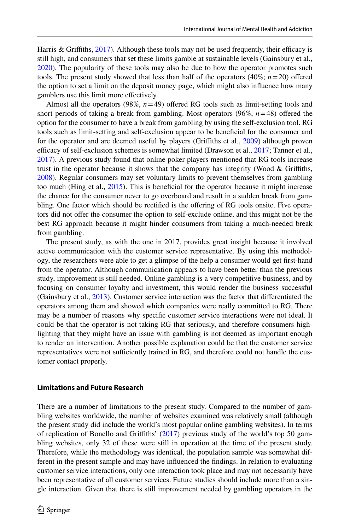Harris & Griffiths,  $2017$ ). Although these tools may not be used frequently, their efficacy is still high, and consumers that set these limits gamble at sustainable levels (Gainsbury et al., [2020\)](#page-14-19). The popularity of these tools may also be due to how the operator promotes such tools. The present study showed that less than half of the operators  $(40\%; n=20)$  offered the option to set a limit on the deposit money page, which might also infuence how many gamblers use this limit more efectively.

Almost all the operators  $(98\%, n=49)$  offered RG tools such as limit-setting tools and short periods of taking a break from gambling. Most operators  $(96\%, n=48)$  offered the option for the consumer to have a break from gambling by using the self-exclusion tool. RG tools such as limit-setting and self-exclusion appear to be benefcial for the consumer and for the operator and are deemed useful by players (Grifths et al., [2009](#page-15-19)) although proven efficacy of self-exclusion schemes is somewhat limited (Drawson et al., [2017](#page-14-10); Tanner et al., [2017\)](#page-15-15). A previous study found that online poker players mentioned that RG tools increase trust in the operator because it shows that the company has integrity (Wood & Grifths, [2008\)](#page-15-20). Regular consumers may set voluntary limits to prevent themselves from gambling too much (Hing et al., [2015](#page-15-21)). This is beneficial for the operator because it might increase the chance for the consumer never to go overboard and result in a sudden break from gambling. One factor which should be rectified is the offering of RG tools onsite. Five operators did not ofer the consumer the option to self-exclude online, and this might not be the best RG approach because it might hinder consumers from taking a much-needed break from gambling.

The present study, as with the one in 2017, provides great insight because it involved active communication with the customer service representative. By using this methodology, the researchers were able to get a glimpse of the help a consumer would get frst-hand from the operator. Although communication appears to have been better than the previous study, improvement is still needed. Online gambling is a very competitive business, and by focusing on consumer loyalty and investment, this would render the business successful (Gainsbury et al., [2013\)](#page-14-9). Customer service interaction was the factor that diferentiated the operators among them and showed which companies were really committed to RG. There may be a number of reasons why specifc customer service interactions were not ideal. It could be that the operator is not taking RG that seriously, and therefore consumers highlighting that they might have an issue with gambling is not deemed as important enough to render an intervention. Another possible explanation could be that the customer service representatives were not sufficiently trained in RG, and therefore could not handle the customer contact properly.

#### **Limitations and Future Research**

There are a number of limitations to the present study. Compared to the number of gambling websites worldwide, the number of websites examined was relatively small (although the present study did include the world's most popular online gambling websites). In terms of replication of Bonello and Grifths' ([2017\)](#page-14-6) previous study of the world's top 50 gambling websites, only 32 of these were still in operation at the time of the present study. Therefore, while the methodology was identical, the population sample was somewhat different in the present sample and may have infuenced the fndings. In relation to evaluating customer service interactions, only one interaction took place and may not necessarily have been representative of all customer services. Future studies should include more than a single interaction. Given that there is still improvement needed by gambling operators in the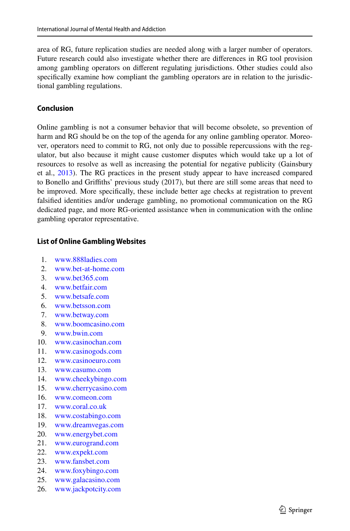area of RG, future replication studies are needed along with a larger number of operators. Future research could also investigate whether there are diferences in RG tool provision among gambling operators on diferent regulating jurisdictions. Other studies could also specifcally examine how compliant the gambling operators are in relation to the jurisdictional gambling regulations.

# **Conclusion**

Online gambling is not a consumer behavior that will become obsolete, so prevention of harm and RG should be on the top of the agenda for any online gambling operator. Moreover, operators need to commit to RG, not only due to possible repercussions with the regulator, but also because it might cause customer disputes which would take up a lot of resources to resolve as well as increasing the potential for negative publicity (Gainsbury et al., [2013](#page-14-9)). The RG practices in the present study appear to have increased compared to Bonello and Grifths' previous study (2017), but there are still some areas that need to be improved. More specifcally, these include better age checks at registration to prevent falsifed identities and/or underage gambling, no promotional communication on the RG dedicated page, and more RG-oriented assistance when in communication with the online gambling operator representative.

# **List of Online Gambling Websites**

- 1. [www.888ladies.com](http://www.888ladies.com)<br>2. www.bet-at-home.com
- [www.bet-at-home.com](http://www.bet-at-home.com)
- 3. [www.bet365.com](http://www.bet365.com)
- 4. [www.betfair.com](http://www.betfair.com)
- 5. [www.betsafe.com](http://www.betsafe.com)
- 6. [www.betsson.com](http://www.betsson.com)
- 7. [www.betway.com](http://www.betway.com)
- 8. [www.boomcasino.com](http://www.boomcasino.com)<br>9. www.bwin.com
- [www.bwin.com](http://www.bwin.com)
- 10. [www.casinochan.com](http://www.casinochan.com)
- 11. [www.casinogods.com](http://www.casinogods.com)<br>12. www.casinoeuro.com
- 12. [www.casinoeuro.com](http://www.casinoeuro.com)<br>13 www.casumo.com
- 13. [www.casumo.com](http://www.casumo.com)
- 14. [www.cheekybingo.com](http://www.cheekybingo.com)
- 15. [www.cherrycasino.com](http://www.cherrycasino.com)
- 16. [www.comeon.com](http://www.comeon.com)<br>17. www.coral.co.uk
- [www.coral.co.uk](http://www.coral.co.uk)
- 18. [www.costabingo.com](http://www.costabingo.com)
- 19. [www.dreamvegas.com](http://www.dreamvegas.com)
- 20. [www.energybet.com](http://www.energybet.com)
- 21. [www.eurogrand.com](http://www.eurogrand.com)
- 22. [www.expekt.com](http://www.expekt.com)
- 23. [www.fansbet.com](http://www.fansbet.com)
- 24. [www.foxybingo.com](http://www.foxybingo.com)
- 25. [www.galacasino.com](http://www.galacasino.com)
- 26. [www.jackpotcity.com](http://www.jackpotcity.com)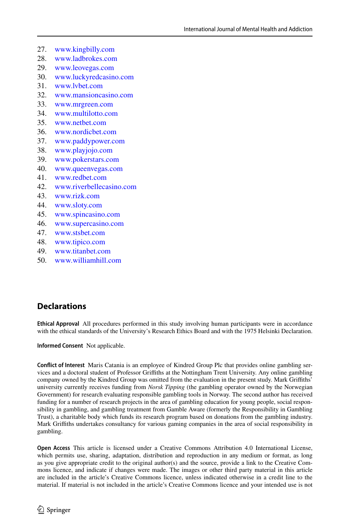- 27. [www.kingbilly.com](http://www.kingbilly.com)<br>28 www.ladbrokes.com
- 28. [www.ladbrokes.com](http://www.ladbrokes.com)
- 29. [www.leovegas.com](http://www.leovegas.com)
- 30. [www.luckyredcasino.com](http://www.luckyredcasino.com)<br>31 www.lybet.com
- 31. [www.lvbet.com](http://www.lvbet.com)<br>32 www.mansioner
- 32. [www.mansioncasino.com](http://www.mansioncasino.com)<br>33. www.mrgreen.com
- 33. [www.mrgreen.com](http://www.mrgreen.com)
- 34. [www.multilotto.com](http://www.multilotto.com)<br>35. www.nethet.com
- 35. [www.netbet.com](http://www.netbet.com)<br>36 www.nordichet.com
- 36. [www.nordicbet.com](http://www.nordicbet.com)<br>37. www.paddypower.com
- 37. [www.paddypower.com](http://www.paddypower.com)
- 38. [www.playjojo.com](http://www.playjojo.com)
- 39. [www.pokerstars.com](http://www.pokerstars.com)
- 40. [www.queenvegas.com](http://www.queenvegas.com)<br>41. www.redbet.com
- 41. [www.redbet.com](http://www.redbet.com)<br>42. www.riverhelleca
- 42. [www.riverbellecasino.com](http://www.riverbellecasino.com)<br>43 www.rizk.com
- [www.rizk.com](http://www.rizk.com)
- 44. [www.sloty.com](http://www.sloty.com)
- 45. [www.spincasino.com](http://www.spincasino.com)<br>46 www.supercasino.com
- 46. [www.supercasino.com](http://www.supercasino.com)<br>47. www.stsbet.com
- 47. [www.stsbet.com](http://www.stsbet.com)
- 48. [www.tipico.com](http://www.tipico.com)<br>49. www.titanbet.co
- 49. [www.titanbet.com](http://www.titanbet.com)
- 50. [www.williamhill.com](http://www.williamhill.com)

# **Declarations**

**Ethical Approval** All procedures performed in this study involving human participants were in accordance with the ethical standards of the University's Research Ethics Board and with the 1975 Helsinki Declaration.

**Informed Consent** Not applicable.

**Confict of Interest** Maris Catania is an employee of Kindred Group Plc that provides online gambling services and a doctoral student of Professor Grifths at the Nottingham Trent University. Any online gambling company owned by the Kindred Group was omitted from the evaluation in the present study. Mark Grifths' university currently receives funding from *Norsk Tipping* (the gambling operator owned by the Norwegian Government) for research evaluating responsible gambling tools in Norway. The second author has received funding for a number of research projects in the area of gambling education for young people, social responsibility in gambling, and gambling treatment from Gamble Aware (formerly the Responsibility in Gambling Trust), a charitable body which funds its research program based on donations from the gambling industry. Mark Grifths undertakes consultancy for various gaming companies in the area of social responsibility in gambling.

**Open Access** This article is licensed under a Creative Commons Attribution 4.0 International License, which permits use, sharing, adaptation, distribution and reproduction in any medium or format, as long as you give appropriate credit to the original author(s) and the source, provide a link to the Creative Commons licence, and indicate if changes were made. The images or other third party material in this article are included in the article's Creative Commons licence, unless indicated otherwise in a credit line to the material. If material is not included in the article's Creative Commons licence and your intended use is not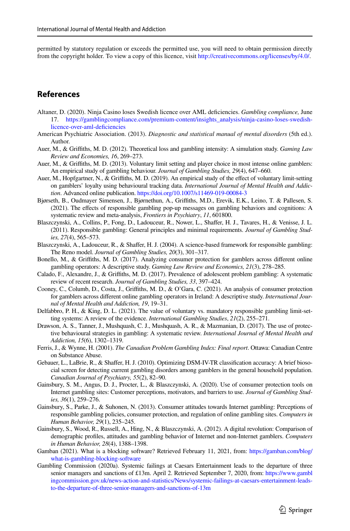permitted by statutory regulation or exceeds the permitted use, you will need to obtain permission directly from the copyright holder. To view a copy of this licence, visit [http://creativecommons.org/licenses/by/4.0/.](http://creativecommons.org/licenses/by/4.0/)

# **References**

- <span id="page-14-5"></span>Altaner, D. (2020). Ninja Casino loses Swedish licence over AML defciencies. *Gambling compliance,* June 17. [https://gamblingcompliance.com/premium-content/insights\\_analysis/ninja-casino-loses-swedish](https://gamblingcompliance.com/premium-content/insights_analysis/ninja-casino-loses-swedish-licence-over-aml-deficiencies)[licence-over-aml-defciencies](https://gamblingcompliance.com/premium-content/insights_analysis/ninja-casino-loses-swedish-licence-over-aml-deficiencies)
- <span id="page-14-14"></span>American Psychiatric Association. (2013). *Diagnostic and statistical manual of mental disorders* (5th ed.). Author.
- <span id="page-14-8"></span>Auer, M., & Grifths, M. D. (2012). Theoretical loss and gambling intensity: A simulation study. *Gaming Law Review and Economies, 16*, 269–273.
- <span id="page-14-1"></span>Auer, M., & Grifths, M. D. (2013). Voluntary limit setting and player choice in most intense online gamblers: An empirical study of gambling behaviour. *Journal of Gambling Studies, 29*(4), 647–660.
- <span id="page-14-18"></span>Auer, M., Hopfgartner, N., & Grifths, M. D. (2019). An empirical study of the efect of voluntary limit-setting on gamblers' loyalty using behavioural tracking data. *International Journal of Mental Health and Addiction*. Advanced online publication.<https://doi.org/10.1007/s11469-019-00084-3>
- <span id="page-14-11"></span>Bjørseth, B., Oudmayer Simensen, J., Bjørnethun, A., Grifths, M.D., Erevik, E.K., Leino, T. & Pallesen, S. (2021). The efects of responsible gambling pop-up messages on gambling behaviors and cognitions: A systematic review and meta-analysis, *Frontiers in Psychiatry*, *11*, 601800.
- <span id="page-14-3"></span>Blaszczynski, A., Collins, P., Fong, D., Ladouceur, R., Nower, L., Shafer, H. J., Tavares, H., & Venisse, J. L. (2011). Responsible gambling: General principles and minimal requirements. *Journal of Gambling Studies, 27*(4), 565–573.
- <span id="page-14-2"></span>Blaszczynski, A., Ladouceur, R., & Shaffer, H. J. (2004). A science-based framework for responsible gambling: The Reno model. *Journal of Gambling Studies, 20*(3), 301–317.
- <span id="page-14-6"></span>Bonello, M., & Grifths, M. D. (2017). Analyzing consumer protection for gamblers across diferent online gambling operators: A descriptive study. *Gaming Law Review and Economics, 21*(3), 278–285.
- <span id="page-14-17"></span>Calado, F., Alexandre, J., & Grifths, M. D. (2017). Prevalence of adolescent problem gambling: A systematic review of recent research. *Journal of Gambling Studies, 33*, 397–424.
- <span id="page-14-7"></span>Cooney, C., Columb, D., Costa, J., Griffiths, M. D., & O'Gara, C. (2021). An analysis of consumer protection for gamblers across diferent online gambling operators in Ireland: A descriptive study. *International Journal of Mental Health and Addiction, 19*, 19–31.
- <span id="page-14-12"></span>Delfabbro, P. H., & King, D. L. (2021). The value of voluntary vs. mandatory responsible gambling limit-setting systems: A review of the evidence. *International Gambling Studies*, *21*(2), 255–271.
- <span id="page-14-10"></span>Drawson, A. S., Tanner, J., Mushquash, C. J., Mushquash, A. R., & Mazmanian, D. (2017). The use of protective behavioural strategies in gambling: A systematic review. *International Journal of Mental Health and Addiction, 15*(6), 1302–1319.
- <span id="page-14-13"></span>Ferris, J., & Wynne, H. (2001). *The Canadian Problem Gambling Index: Final report*. Ottawa: Canadian Centre on Substance Abuse.
- <span id="page-14-15"></span>Gebauer, L., LaBrie, R., & Shafer, H. J. (2010). Optimizing DSM-IV-TR classifcation accuracy: A brief biosocial screen for detecting current gambling disorders among gamblers in the general household population. *Canadian Journal of Psychiatry, 55*(2), 82–90.
- <span id="page-14-19"></span>Gainsbury, S. M., Angus, D. J., Procter, L., & Blaszczynski, A. (2020). Use of consumer protection tools on Internet gambling sites: Customer perceptions, motivators, and barriers to use. *Journal of Gambling Studies, 36*(1), 259–276.
- <span id="page-14-9"></span>Gainsbury, S., Parke, J., & Suhonen, N. (2013). Consumer attitudes towards Internet gambling: Perceptions of responsible gambling policies, consumer protection, and regulation of online gambling sites. *Computers in Human Behavior, 29*(1), 235–245.
- <span id="page-14-0"></span>Gainsbury, S., Wood, R., Russell, A., Hing, N., & Blaszczynski, A. (2012). A digital revolution: Comparison of demographic profles, attitudes and gambling behavior of Internet and non-Internet gamblers. *Computers in Human Behavior, 28*(4), 1388–1398.
- <span id="page-14-16"></span>Gamban (2021). What is a blocking software? Retrieved February 11, 2021, from: [https://gamban.com/blog/](https://gamban.com/blog/what-is-gambling-blocking-software) [what-is-gambling-blocking-software](https://gamban.com/blog/what-is-gambling-blocking-software)
- <span id="page-14-4"></span>Gambling Commission (2020a). Systemic failings at Caesars Entertainment leads to the departure of three senior managers and sanctions of £13m. April 2. Retrieved September 7, 2020, from: [https://www.gambl](https://www.gamblingcommission.gov.uk/news-action-and-statistics/News/systemic-failings-at-caesars-entertainment-leads-to-the-departure-of-three-senior-managers-and-sanctions-of-13m) [ingcommission.gov.uk/news-action-and-statistics/News/systemic-failings-at-caesars-entertainment-leads](https://www.gamblingcommission.gov.uk/news-action-and-statistics/News/systemic-failings-at-caesars-entertainment-leads-to-the-departure-of-three-senior-managers-and-sanctions-of-13m)[to-the-departure-of-three-senior-managers-and-sanctions-of-13m](https://www.gamblingcommission.gov.uk/news-action-and-statistics/News/systemic-failings-at-caesars-entertainment-leads-to-the-departure-of-three-senior-managers-and-sanctions-of-13m)